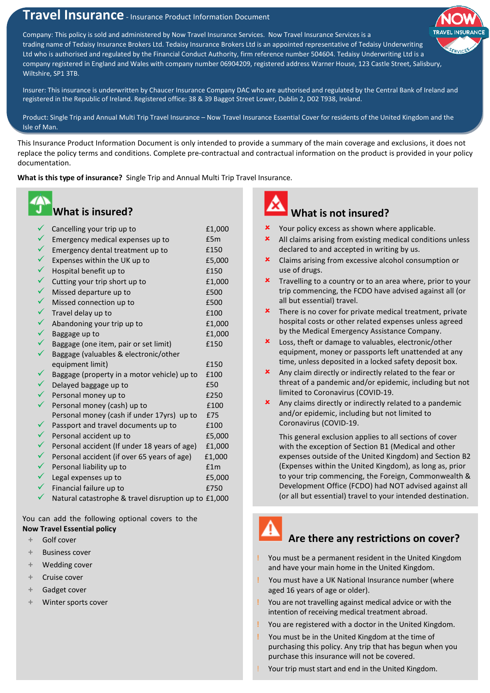# **Travel Insurance** - Insurance Product Information Document

Company: This policy is sold and administered by Now Travel Insurance Services. Now Travel Insurance Services is a trading name of Tedaisy Insurance Brokers Ltd. Tedaisy Insurance Brokers Ltd is an appointed representative of Tedaisy Underwriting Ltd who is authorised and regulated by the Financial Conduct Authority, firm reference number 504604. Tedaisy Underwriting Ltd is a company registered in England and Wales with company number 06904209, registered address Warner House, 123 Castle Street, Salisbury, Wiltshire, SP1 3TB.

Insurer: This insurance is underwritten by Chaucer Insurance Company DAC who are authorised and regulated by the Central Bank of Ireland and registered in the Republic of Ireland. Registered office: 38 & 39 Baggot Street Lower, Dublin 2, D02 T938, Ireland.

Product: Single Trip and Annual Multi Trip Travel Insurance – Now Travel Insurance Essential Cover for residents of the United Kingdom and the Isle of Man.

This Insurance Product Information Document is only intended to provide a summary of the main coverage and exclusions, it does not replace the policy terms and conditions. Complete pre-contractual and contractual information on the product is provided in your policy documentation.

**What is this type of insurance?** Single Trip and Annual Multi Trip Travel Insurance.

## **What is insured?**

| $\checkmark$ | Cancelling your trip up to                           | £1,000 |
|--------------|------------------------------------------------------|--------|
|              | Emergency medical expenses up to                     | £5m    |
| $\checkmark$ | Emergency dental treatment up to                     | £150   |
| $\checkmark$ | Expenses within the UK up to                         | £5,000 |
| $\checkmark$ | Hospital benefit up to                               | £150   |
| $\checkmark$ | Cutting your trip short up to                        | £1,000 |
| $\checkmark$ | Missed departure up to                               | £500   |
| $\checkmark$ | Missed connection up to                              | £500   |
| ✓            | Travel delay up to                                   | £100   |
| $\checkmark$ | Abandoning your trip up to                           | £1,000 |
| $\checkmark$ | Baggage up to                                        | £1,000 |
| $\checkmark$ | Baggage (one item, pair or set limit)                | £150   |
| ✓            | Baggage (valuables & electronic/other                |        |
|              | equipment limit)                                     | £150   |
|              | Baggage (property in a motor vehicle) up to          | £100   |
| $\checkmark$ | Delayed baggage up to                                | £50    |
| $\checkmark$ | Personal money up to                                 | £250   |
|              | Personal money (cash) up to                          | £100   |
|              | Personal money (cash if under 17yrs) up to           | £75    |
|              | Passport and travel documents up to                  | £100   |
| ✓            | Personal accident up to                              | £5,000 |
| $\checkmark$ | Personal accident (If under 18 years of age)         | £1,000 |
| $\checkmark$ | Personal accident (if over 65 years of age)          | £1,000 |
| $\checkmark$ | Personal liability up to                             | f1m    |
| $\checkmark$ | Legal expenses up to                                 | £5,000 |
| ✓            | Financial failure up to                              | £750   |
|              | Natural catastrophe & travel disruption up to £1,000 |        |

You can add the following optional covers to the **Now Travel Essential policy**

- **+** Golf cover
- **+** Business cover
- **+** Wedding cover
- **+** Cruise cover
- **+** Gadget cover
- **+** Winter sports cover



## **What is not insured?**

- Your policy excess as shown where applicable.
- All claims arising from existing medical conditions unless declared to and accepted in writing by us.
- **x** Claims arising from excessive alcohol consumption or use of drugs.
- Travelling to a country or to an area where, prior to your trip commencing, the FCDO have advised against all (or all but essential) travel.
- **\*** There is no cover for private medical treatment, private hospital costs or other related expenses unless agreed by the Medical Emergency Assistance Company.
- Loss, theft or damage to valuables, electronic/other equipment, money or passports left unattended at any time, unless deposited in a locked safety deposit box.
- Any claim directly or indirectly related to the fear or threat of a pandemic and/or epidemic, including but not limited to Coronavirus (COVID-19.
- Any claims directly or indirectly related to a pandemic and/or epidemic, including but not limited to Coronavirus (COVID-19.

This general exclusion applies to all sections of cover with the exception of Section B1 (Medical and other expenses outside of the United Kingdom) and Section B2 (Expenses within the United Kingdom), as long as, prior to your trip commencing, the Foreign, Commonwealth & Development Office (FCDO) had NOT advised against all (or all but essential) travel to your intended destination.

# **Are there any restrictions on cover?**

- **!** You must be a permanent resident in the United Kingdom and have your main home in the United Kingdom.
- **!** You must have a UK National Insurance number (where aged 16 years of age or older).
- **!** You are not travelling against medical advice or with the intention of receiving medical treatment abroad.
- **!** You are registered with a doctor in the United Kingdom.
- **!** You must be in the United Kingdom at the time of purchasing this policy. Any trip that has begun when you purchase this insurance will not be covered.
- Your trip must start and end in the United Kingdom.